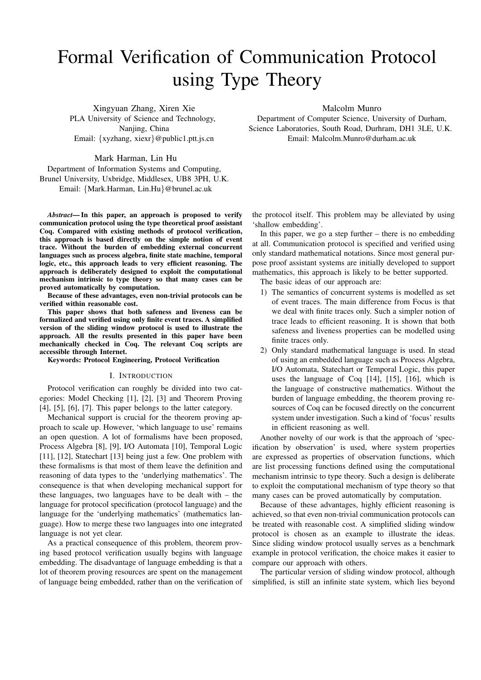# Formal Verification of Communication Protocol using Type Theory

Xingyuan Zhang, Xiren Xie PLA University of Science and Technology, Nanjing, China Email: {xyzhang, xiexr}@public1.ptt.js.cn

# Mark Harman, Lin Hu

Department of Information Systems and Computing, Brunel University, Uxbridge, Middlesex, UB8 3PH, U.K. Email: {Mark.Harman, Lin.Hu}@brunel.ac.uk

*Abstract***—In this paper, an approach is proposed to verify communication protocol using the type theoretical proof assistant Coq. Compared with existing methods of protocol verification, this approach is based directly on the simple notion of event trace. Without the burden of embedding external concurrent languages such as process algebra, finite state machine, temporal logic, etc., this approach leads to very efficient reasoning. The approach is deliberately designed to exploit the computational mechanism intrinsic to type theory so that many cases can be proved automatically by computation.**

**Because of these advantages, even non-trivial protocols can be verified within reasonable cost.**

**This paper shows that both safeness and liveness can be formalized and verified using only finite event traces. A simplified version of the sliding window protocol is used to illustrate the approach. All the results presented in this paper have been mechanically checked in Coq. The relevant Coq scripts are accessible through Internet.**

**Keywords: Protocol Engineering, Protocol Verification**

### I. INTRODUCTION

Protocol verification can roughly be divided into two categories: Model Checking [1], [2], [3] and Theorem Proving [4], [5], [6], [7]. This paper belongs to the latter category.

Mechanical support is crucial for the theorem proving approach to scale up. However, 'which language to use' remains an open question. A lot of formalisms have been proposed, Process Algebra [8], [9], I/O Automata [10], Temporal Logic [11], [12], Statechart [13] being just a few. One problem with these formalisms is that most of them leave the definition and reasoning of data types to the 'underlying mathematics'. The consequence is that when developing mechanical support for these languages, two languages have to be dealt with – the language for protocol specification (protocol language) and the language for the 'underlying mathematics' (mathematics language). How to merge these two languages into one integrated language is not yet clear.

As a practical consequence of this problem, theorem proving based protocol verification usually begins with language embedding. The disadvantage of language embedding is that a lot of theorem proving resources are spent on the management of language being embedded, rather than on the verification of Malcolm Munro

Department of Computer Science, University of Durham, Science Laboratories, South Road, Durhram, DH1 3LE, U.K. Email: Malcolm.Munro@durham.ac.uk

the protocol itself. This problem may be alleviated by using 'shallow embedding'.

In this paper, we go a step further – there is no embedding at all. Communication protocol is specified and verified using only standard mathematical notations. Since most general purpose proof assistant systems are initially developed to support mathematics, this approach is likely to be better supported.

The basic ideas of our approach are:

- 1) The semantics of concurrent systems is modelled as set of event traces. The main difference from Focus is that we deal with finite traces only. Such a simpler notion of trace leads to efficient reasoning. It is shown that both safeness and liveness properties can be modelled using finite traces only.
- 2) Only standard mathematical language is used. In stead of using an embedded language such as Process Algebra, I/O Automata, Statechart or Temporal Logic, this paper uses the language of Coq [14], [15], [16], which is the language of constructive mathematics. Without the burden of language embedding, the theorem proving resources of Coq can be focused directly on the concurrent system under investigation. Such a kind of 'focus' results in efficient reasoning as well.

Another novelty of our work is that the approach of 'specification by observation' is used, where system properties are expressed as properties of observation functions, which are list processing functions defined using the computational mechanism intrinsic to type theory. Such a design is deliberate to exploit the computational mechanism of type theory so that many cases can be proved automatically by computation.

Because of these advantages, highly efficient reasoning is achieved, so that even non-trivial communication protocols can be treated with reasonable cost. A simplified sliding window protocol is chosen as an example to illustrate the ideas. Since sliding window protocol usually serves as a benchmark example in protocol verification, the choice makes it easier to compare our approach with others.

The particular version of sliding window protocol, although simplified, is still an infinite state system, which lies beyond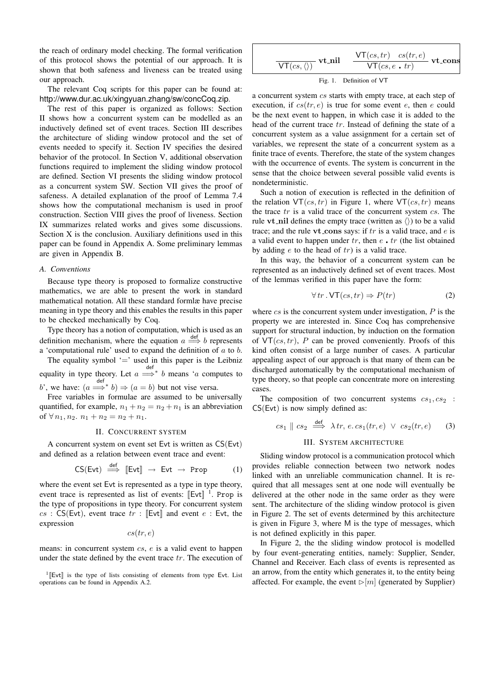the reach of ordinary model checking. The formal verification of this protocol shows the potential of our approach. It is shown that both safeness and liveness can be treated using our approach.

The relevant Coq scripts for this paper can be found at: http://www.dur.ac.uk/xingyuan.zhang/sw/concCoq.zip.

The rest of this paper is organized as follows: Section II shows how a concurrent system can be modelled as an inductively defined set of event traces. Section III describes the architecture of sliding window protocol and the set of events needed to specify it. Section IV specifies the desired behavior of the protocol. In Section V, additional observation functions required to implement the sliding window protocol are defined. Section VI presents the sliding window protocol as a concurrent system SW. Section VII gives the proof of safeness. A detailed explanation of the proof of Lemma 7.4 shows how the computational mechanism is used in proof construction. Section VIII gives the proof of liveness. Section IX summarizes related works and gives some discussions. Section X is the conclusion. Auxiliary definitions used in this paper can be found in Appendix A. Some preliminary lemmas are given in Appendix B.

## *A. Conventions*

Because type theory is proposed to formalize constructive mathematics, we are able to present the work in standard mathematical notation. All these standard formlæ have precise meaning in type theory and this enables the results in this paper to be checked mechanically by Coq.

Type theory has a notion of computation, which is used as an definition mechanism, where the equation  $a \stackrel{\text{def}}{\Longrightarrow} b$  represents a 'computational rule' used to expand the definition of  $a$  to  $b$ .

The equality symbol  $\equiv$  used in this paper is the Leibniz equality in type theory. Let  $a \implies^{\text{def}} b$  means 'a computes to b', we have:  $(a \Longrightarrow^* b) \Rightarrow (a = b)$  but not vise versa.

Free variables in formulae are assumed to be universally quantified, for example,  $n_1 + n_2 = n_2 + n_1$  is an abbreviation of  $\forall n_1, n_2, n_1 + n_2 = n_2 + n_1.$ 

#### II. CONCURRENT SYSTEM

A concurrent system on event set Evt is written as CS(Evt) and defined as a relation between event trace and event:

$$
\mathsf{CS}(\mathsf{Evt}) \stackrel{\mathsf{def}}{\Longrightarrow} [\![\mathsf{Evt}]\!] \rightarrow \mathsf{Evt} \rightarrow \mathsf{Prop} \tag{1}
$$

where the event set Evt is represented as a type in type theory, event trace is represented as list of events:  $[{\text{Evt}}]$ <sup>1</sup>. Prop is the type of propositions in type theory. For concurrent system cs :  $CS(Evt)$ , event trace  $tr : [Evt]$  and event  $e : Evt$ , the expression

$$
cs(tr, e)
$$

means: in concurrent system cs, e is a valid event to happen under the state defined by the event trace  $tr$ . The execution of

| $\overline{\text{VT}(cs,\langle\rangle)}$ vt_nil | $VT(cs, tr) \quad cs(tr, e)$ |  | $^\prime\text{-}$ vt_cons |
|--------------------------------------------------|------------------------------|--|---------------------------|
|                                                  | $VT(cs, e \cdot tr)$         |  |                           |

Fig. 1. Definition of VT

a concurrent system cs starts with empty trace, at each step of execution, if  $cs(tr, e)$  is true for some event e, then e could be the next event to happen, in which case it is added to the head of the current trace tr. Instead of defining the state of a concurrent system as a value assignment for a certain set of variables, we represent the state of a concurrent system as a finite trace of events. Therefore, the state of the system changes with the occurrence of events. The system is concurrent in the sense that the choice between several possible valid events is nondeterministic.

Such a notion of execution is reflected in the definition of the relation  $VT(cs, tr)$  in Figure 1, where  $VT(cs, tr)$  means the trace  $tr$  is a valid trace of the concurrent system  $cs$ . The rule vt nil defines the empty trace (written as  $\langle \rangle$ ) to be a valid trace; and the rule vt cons says: if  $tr$  is a valid trace, and  $e$  is a valid event to happen under  $tr$ , then  $e \cdot tr$  (the list obtained by adding  $e$  to the head of  $tr$ ) is a valid trace.

In this way, the behavior of a concurrent system can be represented as an inductively defined set of event traces. Most of the lemmas verified in this paper have the form:

$$
\forall \, tr \, . \, \mathsf{VT}(cs, tr) \Rightarrow P(tr) \tag{2}
$$

where  $cs$  is the concurrent system under investigation,  $P$  is the property we are interested in. Since Coq has comprehensive support for structural induction, by induction on the formation of  $VT(cs, tr)$ , P can be proved conveniently. Proofs of this kind often consist of a large number of cases. A particular appealing aspect of our approach is that many of them can be discharged automatically by the computational mechanism of type theory, so that people can concentrate more on interesting cases.

The composition of two concurrent systems  $cs_1, cs_2$ : CS(Evt) is now simply defined as:

$$
cs_1 \parallel cs_2 \stackrel{\text{def}}{\implies} \lambda \, tr, \, e. \, cs_1(tr, e) \ \lor \ cs_2(tr, e) \qquad (3)
$$

# III. SYSTEM ARCHITECTURE

Sliding window protocol is a communication protocol which provides reliable connection between two network nodes linked with an unreliable communication channel. It is required that all messages sent at one node will eventually be delivered at the other node in the same order as they were sent. The architecture of the sliding window protocol is given in Figure 2. The set of events determined by this architecture is given in Figure 3, where M is the type of messages, which is not defined explicitly in this paper.

In Figure 2, the the sliding window protocol is modelled by four event-generating entities, namely: Supplier, Sender, Channel and Receiver. Each class of events is represented as an arrow, from the entity which generates it, to the entity being affected. For example, the event  $\triangleright$ [m] (generated by Supplier)

<sup>&</sup>lt;sup>1</sup> [Evt] is the type of lists consisting of elements from type Evt. List operations can be found in Appendix A.2.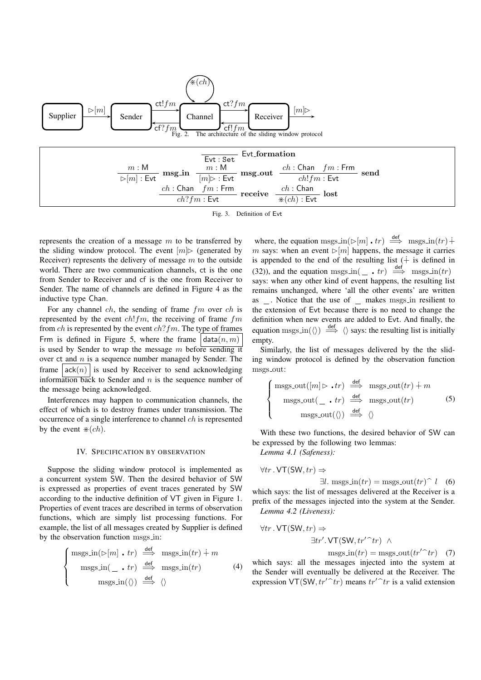

| Evt_formation<br>Evt : Set   |        |                                 |         |                             |      |      |
|------------------------------|--------|---------------------------------|---------|-----------------------------|------|------|
| m: M                         |        | m: M                            |         | $ch:$ Chan $fm:$ Frm        |      | send |
| $\triangleright$ $[m]$ : Evt | msg_in | $\frac{m \cdot m}{ m }$ msg out |         | $ch!fm$ : Evt               |      |      |
|                              |        | $ch:$ Chan $fm:$ Frm            | receive | $ch:$ Chan                  | lost |      |
|                              |        | $ch?fm$ : Evt                   |         | $\divideontimes (ch) :$ Evt |      |      |

Fig. 3. Definition of Evt

represents the creation of a message  $m$  to be transferred by the sliding window protocol. The event  $[m]$  (generated by Receiver) represents the delivery of message  $m$  to the outside world. There are two communication channels, ct is the one from Sender to Receiver and cf is the one from Receiver to Sender. The name of channels are defined in Figure 4 as the inductive type Chan.

For any channel  $ch$ , the sending of frame  $fm$  over  $ch$  is represented by the event  $ch!fm$ , the receiving of frame  $fm$ from  $ch$  is represented by the event  $ch?fm$ . The type of frames Frm is defined in Figure 5, where the frame  $\det(n, m)$ is used by Sender to wrap the message  $m$  before sending it over  $ct$  and  $n$  is a sequence number managed by Sender. The frame  $\vert$  ack(n) is used by Receiver to send acknowledging information back to Sender and  $n$  is the sequence number of the message being acknowledged.

Interferences may happen to communication channels, the effect of which is to destroy frames under transmission. The occurrence of a single interference to channel ch is represented by the event  $\divideontimes$ (*ch*).

#### IV. SPECIFICATION BY OBSERVATION

Suppose the sliding window protocol is implemented as a concurrent system SW. Then the desired behavior of SW is expressed as properties of event traces generated by SW according to the inductive definition of VT given in Figure 1. Properties of event traces are described in terms of observation functions, which are simply list processing functions. For example, the list of all messages created by Supplier is defined by the observation function msgs\_in:

$$
\begin{cases}\n\text{msgs.in}(\triangleright[m] \cdot tr) \stackrel{\text{def}}{\Longrightarrow} \text{msgs.in}(tr) \dotplus m \\
\text{msgs.in}(\_ \cdot tr) \stackrel{\text{def}}{\Longrightarrow} \text{msgs.in}(tr) \tag{4} \\
\text{msgs.in}(\langle \rangle) \stackrel{\text{def}}{\Longrightarrow} \langle \rangle\n\end{cases}
$$

where, the equation msgs in( $\triangleright$ [m]  $\cdot tr$ )  $\stackrel{\text{def}}{\Longrightarrow}$  msgs in(tr) + m says: when an event  $\triangleright$ [m] happens, the message it carries is appended to the end of the resulting list  $(†$  is defined in (32)), and the equation msgs in(  $\Rightarrow$  tr)  $\stackrel{\text{def}}{\Rightarrow}$  msgs in(tr) says: when any other kind of event happens, the resulting list remains unchanged, where 'all the other events' are written as \_. Notice that the use of \_ makes msgs in resilient to the extension of Evt because there is no need to change the definition when new events are added to Evt. And finally, the equation msgs\_in( $\langle \rangle$ )  $\stackrel{\text{def}}{\Longrightarrow}$   $\langle \rangle$  says: the resulting list is initially empty.

Similarly, the list of messages delivered by the the sliding window protocol is defined by the observation function msgs out:

$$
\begin{cases}\n\text{msgs.out}([m] \triangleright \cdot tr) \stackrel{\text{def}}{\implies} \text{msgs.out}(tr) \dotplus m \\
\text{msgs.out}(\_\cdot tr) \stackrel{\text{def}}{\implies} \text{msgs.out}(tr) \\
\text{msgs.out}(\langle \rangle) \stackrel{\text{def}}{\implies} \langle \rangle\n\end{cases} (5)
$$

With these two functions, the desired behavior of SW can be expressed by the following two lemmas:

*Lemma 4.1 (Safeness):*

$$
\forall tr.\, \mathsf{VT}(\mathsf{SW}, tr) \Rightarrow
$$

 $\exists l.$  msgs\_in(tr) = msgs\_out(tr)<sup> $\hat{l}$ </sup> (6) which says: the list of messages delivered at the Receiver is a prefix of the messages injected into the system at the Sender. *Lemma 4.2 (Liveness):*

$$
\forall tr \,.\, \mathsf{VT}(\mathsf{SW}, tr) \Rightarrow \exists tr'.\, \mathsf{VT}(\mathsf{SW}, tr' \hat{~} tr) \; \wedge
$$

 $\text{msgs.in}(tr) = \text{msgs.out}(tr'\hat{ } tr)$  (7)

which says: all the messages injected into the system at the Sender will eventually be delivered at the Receiver. The expression VT(SW,  $tr^{\prime\frown}tr$ ) means  $tr^{\prime\frown}tr$  is a valid extension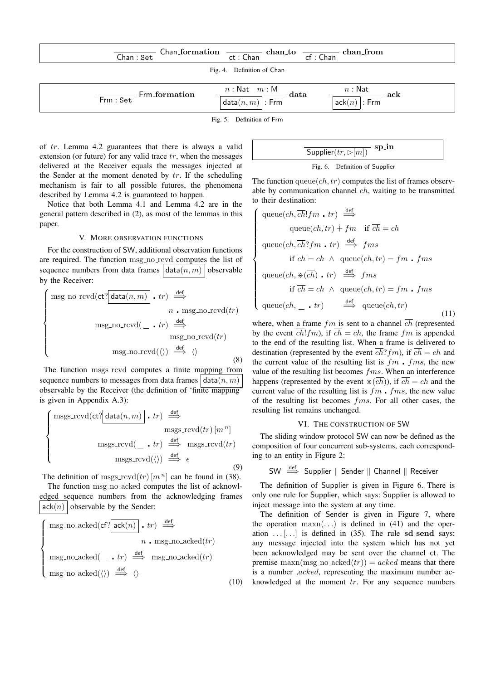| Chan : Set                    | Chan formation $\frac{1}{ct: Chan}$ chan to $\frac{1}{cf: Chan}$<br>chan from                                                 |  |
|-------------------------------|-------------------------------------------------------------------------------------------------------------------------------|--|
| Fig. 4. Definition of Chan    |                                                                                                                               |  |
| $F$ rm : Set $F$ rm_formation | $n:$ Nat<br>$n : \mathsf{Nat} \quad m : \mathsf{M}$<br>data<br>ack<br>$\overline{\mathsf{data}(n,m)}$ : Frm<br>$ack(n)$ : Frm |  |
|                               | Fig. 5. Definition of Frm                                                                                                     |  |

of tr. Lemma 4.2 guarantees that there is always a valid extension (or future) for any valid trace  $tr$ , when the messages delivered at the Receiver equals the messages injected at the Sender at the moment denoted by  $tr$ . If the scheduling mechanism is fair to all possible futures, the phenomena described by Lemma 4.2 is guaranteed to happen.

Notice that both Lemma 4.1 and Lemma 4.2 are in the general pattern described in (2), as most of the lemmas in this paper.

## V. MORE OBSERVATION FUNCTIONS

For the construction of SW, additional observation functions are required. The function msg no rcvd computes the list of sequence numbers from data frames  $|data(n, m)|$  observable by the Receiver:

$$
\begin{cases}\n \operatorname{msg.no\_rcvd(ct?}[\frac{\operatorname{data}(n,m)}{\operatorname{data}(n,m)} \cdot tr) \stackrel{\text{def}}{\Longrightarrow} \\
 n \cdot \operatorname{msg.no\_rcvd(tr)} \\
 \operatorname{msg.no\_rcvd}(\_ \cdot tr) \stackrel{\text{def}}{\Longrightarrow} \\
 \operatorname{msg.no\_rcvd}(\langle \rangle) \stackrel{\text{def}}{\Longrightarrow} \langle \rangle \\
 (8)\n\end{cases}
$$

The function msgs rcvd computes a finite mapping from sequence numbers to messages from data frames  $\vert$  data $(n, m)$ observable by the Receiver (the definition of 'finite mapping' is given in Appendix A.3):

$$
\left\{\n\begin{array}{c}\n\text{msgs_rcvd(ct?}[\text{data}(n, m)] \cdot tr) \stackrel{\text{def}}{\iff} \\
\text{msgs_rcvd(tr)}[m^n] \\
\text{msgs_rcvd}(\_\_ \cdot tr) \stackrel{\text{def}}{\iff} \text{msgs_rcvd(tr)} \\
\text{msgs_rcvd}(\langle \rangle) \stackrel{\text{def}}{\iff} \epsilon\n\end{array}\n\right.
$$
\n(9)

The definition of msgs\_rcvd $(tr)[m^n]$  can be found in (38).

The function msg no acked computes the list of acknowledged sequence numbers from the acknowledging frames  $ack(n)$  observable by the Sender:

$$
\begin{cases}\n \text{msg\_no\_acked}(\text{cf?} \overline{\text{ack}(n)} \cdot tr) \stackrel{\text{def}}{\Longrightarrow} \\
 n \cdot \text{msg\_no\_acked}(tr) \\
 \text{msg\_no\_acked}(\_\cdot \cdot tr) \stackrel{\text{def}}{\Longrightarrow} \text{msg\_no\_acked}(tr) \\
 \text{msg\_no\_acked}(\langle \rangle) \stackrel{\text{def}}{\Longrightarrow} \langle \rangle\n \end{cases}
$$
\n(10)

Supplier $(tr, \triangleright [m])$  sp in Fig. 6. Definition of Supplier

The function queue $(ch, tr)$  computes the list of frames observable by communication channel  $ch$ , waiting to be transmitted to their destination:

$$
\begin{cases}\n\text{queue}(ch, \overline{ch}!fm \cdot tr) \stackrel{\text{def}}{\Longrightarrow} \\
\text{queue}(ch, tr) + fm & \text{if } \overline{ch} = ch \\
\text{queue}(ch, \overline{ch}?fm \cdot tr) \stackrel{\text{def}}{\Longrightarrow} fms \\
\text{if } \overline{ch} = ch \land \text{queue}(ch, tr) = fm \cdot fms \\
\text{queue}(ch, *(\overline{ch}) \cdot tr) \stackrel{\text{def}}{\Longrightarrow} fms \\
\text{if } \overline{ch} = ch \land \text{queue}(ch, tr) = fm \cdot fms \\
\text{queue}(ch, - tr) \stackrel{\text{def}}{\Longrightarrow} \text{queue}(ch, tr)\n\end{cases}
$$
\n(11)

where, when a frame  $fm$  is sent to a channel  $\overline{ch}$  (represented by the event  $\overline{ch}!fm$ , if  $\overline{ch} = ch$ , the frame fm is appended to the end of the resulting list. When a frame is delivered to destination (represented by the event  $\overline{ch}$ ?fm), if  $\overline{ch} = ch$  and the current value of the resulting list is  $fm \cdot fms$ , the new value of the resulting list becomes  $fms$ . When an interference happens (represented by the event  $\ast(\overline{ch})$ ), if  $\overline{ch} = ch$  and the current value of the resulting list is  $fm \cdot fms$ , the new value of the resulting list becomes fms. For all other cases, the resulting list remains unchanged.

#### VI. THE CONSTRUCTION OF SW

The sliding window protocol SW can now be defined as the composition of four concurrent sub-systems, each corresponding to an entity in Figure 2:

 $SW \stackrel{\text{def}}{\Longrightarrow}$  Supplier  $\parallel$  Sender  $\parallel$  Channel  $\parallel$  Receiver

The definition of Supplier is given in Figure 6. There is only one rule for Supplier, which says: Supplier is allowed to inject message into the system at any time.

The definition of Sender is given in Figure 7, where the operation  $\max(n(\ldots))$  is defined in (41) and the operation  $\dots$  [ $\dots$ ] is defined in (35). The rule sd send says: any message injected into the system which has not yet been acknowledged may be sent over the channel ct. The premise maxn(msg\_no\_acked(tr)) =  $acked$  means that there is a number , acked, representing the maximum number acknowledged at the moment  $tr$ . For any sequence numbers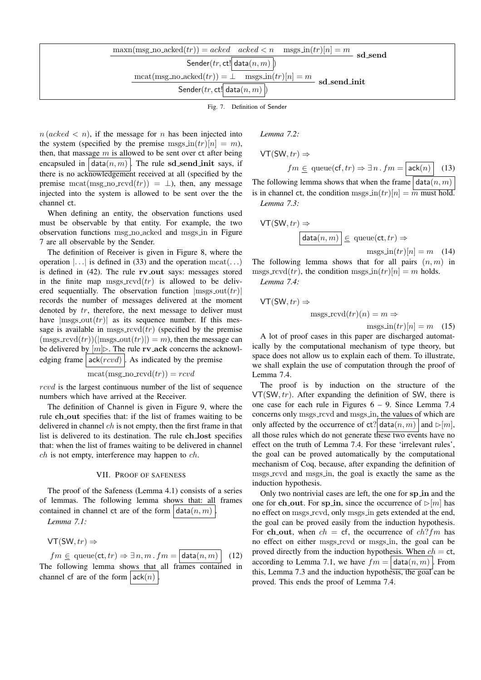

Fig. 7. Definition of Sender

 $n (acked < n)$ , if the message for n has been injected into the system (specified by the premise msgs  $\text{in}(tr)[n] = m$ ), then, that massage  $m$  is allowed to be sent over  $ct$  after being encapsuled in  $\left|\text{data}(n, m)\right|$ . The rule sd send init says, if there is no acknowledgement received at all (specified by the premise mcat(msg\_no\_rcvd $(tr)$ ) =  $\perp$ ), then, any message injected into the system is allowed to be sent over the the channel ct.

When defining an entity, the observation functions used must be observable by that entity. For example, the two observation functions msg no acked and msgs in in Figure 7 are all observable by the Sender.

The definition of Receiver is given in Figure 8, where the operation  $|...|$  is defined in (33) and the operation mcat $(...)$ is defined in  $(42)$ . The rule rv out says: messages stored in the finite map msgs\_rcvd $(tr)$  is allowed to be delivered sequentially. The observation function  $|$ msgs out $(tr)|$ records the number of messages delivered at the moment denoted by tr, therefore, the next message to deliver must have  $|mass.out(tr)|$  as its sequence number. If this message is available in msgs\_rcvd $(tr)$  (specified by the premise  $(\text{msgs_rcvd}(tr))(|\text{msgs_rout}(tr)|) = m$ , then the message can be delivered by  $[m] \triangleright$ . The rule rv ack concerns the acknowledging frame  $ack(rcvd)$ . As indicated by the premise

$$
mcat(msg.no_rrvd(tr)) = rcvd
$$

 $rcvd$  is the largest continuous number of the list of sequence numbers which have arrived at the Receiver.

The definition of Channel is given in Figure 9, where the rule ch out specifies that: if the list of frames waiting to be delivered in channel  $ch$  is not empty, then the first frame in that list is delivered to its destination. The rule ch lost specifies that: when the list of frames waiting to be delivered in channel  $ch$  is not empty, interference may happen to  $ch$ .

## VII. PROOF OF SAFENESS

The proof of the Safeness (Lemma 4.1) consists of a series of lemmas. The following lemma shows that: all frames contained in channel ct are of the form  $\vert$  data $(n, m)$ .

*Lemma 7.1:*

 $VT(SW,tr) \Rightarrow$ 

 $fm \in$  queue(ct, tr)  $\Rightarrow \exists n, m \cdot fm = |data(n, m)|$  (12) The following lemma shows that all frames contained in channel cf are of the form  $ack(n)$ 

*Lemma 7.2:*

 $VT(SW,tr) \Rightarrow$ 

$$
fm \leq \text{queue}(\text{cf}, tr) \Rightarrow \exists n \, . \, fm = |\text{ack}(n)| \quad (13)
$$

The following lemma shows that when the frame data(n, m) is in channel ct, the condition msgs  $\text{in}(tr)[n] = \overline{m}$  must hold. *Lemma 7.3:*

$$
VT(SW, tr) \Rightarrow
$$
  

$$
data(n, m) \in queue(ct, tr) \Rightarrow
$$

msgs  $\text{in}(tr)[n] = m$  (14)

The following lemma shows that for all pairs  $(n, m)$  in msgs  $\text{rcvd}(tr)$ , the condition msgs  $\text{in}(tr)[n] = m$  holds. *Lemma 7.4:*

$$
\begin{aligned} \n\nabla \mathsf{T}(\mathsf{SW}, tr) &\Rightarrow\\ \n\text{msgs\_rcvd}(tr)(n) &= m \Rightarrow\\ \n\text{msgs\_in}(tr)[n] &= m \quad (15) \n\end{aligned}
$$

A lot of proof cases in this paper are discharged automatically by the computational mechanism of type theory, but space does not allow us to explain each of them. To illustrate, we shall explain the use of computation through the proof of Lemma 7.4.

The proof is by induction on the structure of the  $VT(SW,tr)$ . After expanding the definition of SW, there is one case for each rule in Figures 6 – 9. Since Lemma 7.4 concerns only msgs rcvd and msgs in, the values of which are only affected by the occurrence of  $ct$ ? data $(n, m)$  and  $\triangleright [m]$ , all those rules which do not generate these two events have no effect on the truth of Lemma 7.4. For these 'irrelevant rules', the goal can be proved automatically by the computational mechanism of Coq, because, after expanding the definition of msgs rcvd and msgs in, the goal is exactly the same as the induction hypothesis.

Only two nontrivial cases are left, the one for sp in and the one for ch out. For sp in, since the occurrence of  $\gtrdot m$  has no effect on msgs rcvd, only msgs in gets extended at the end, the goal can be proved easily from the induction hypothesis. For ch out, when  $ch = cf$ , the occurrence of  $ch?fm$  has no effect on either msgs rcvd or msgs in, the goal can be proved directly from the induction hypothesis. When  $ch = ct$ , according to Lemma 7.1, we have  $fm = |data(n, m)|$ . From this, Lemma 7.3 and the induction hypothesis, the goal can be proved. This ends the proof of Lemma 7.4.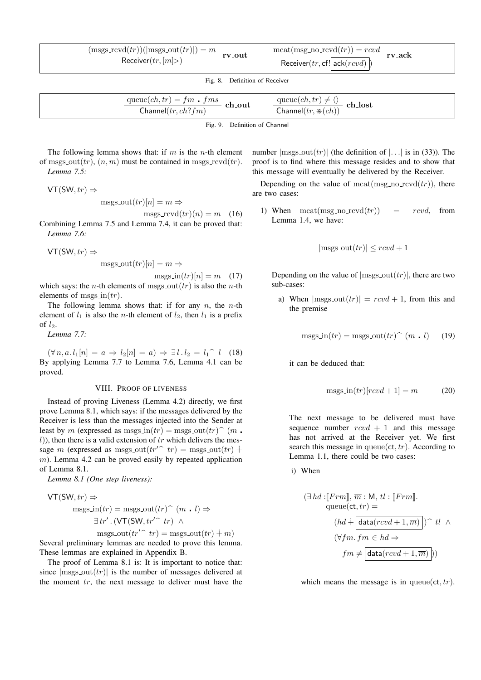| $(\text{msgs_rcvd}(tr))(\text{msgs_rout}(tr))) = m$ | $\text{mcat}(\text{msg\_no\_rcvd}(tr)) = rcvd$ |
|-----------------------------------------------------|------------------------------------------------|
| rv_out                                              | rv_ack                                         |
| Receiver $(tr,  m  \triangleright)$                 | Receiver $(tr,$ cf! ack $(rcvd)$ $)$           |

Fig. 8. Definition of Receiver

| queue $(ch, tr)$ =<br>$+m$ .<br>$+ms$<br>ch_out<br>$\mathsf{channel}(tr, ch'.f')$<br>$+m1$ | f(r)<br>queue( $ch, \ldots$<br>ch_lost<br>Channel $(tr, \divideontimes (ch),$ |
|--------------------------------------------------------------------------------------------|-------------------------------------------------------------------------------|
|--------------------------------------------------------------------------------------------|-------------------------------------------------------------------------------|

Fig. 9. Definition of Channel

The following lemma shows that: if  $m$  is the *n*-th element of msgs out $(tr)$ ,  $(n, m)$  must be contained in msgs rcvd $(tr)$ . *Lemma 7.5:*

 $VT(SW,tr) \Rightarrow$ 

msgs\_out $(tr)[n] = m \Rightarrow$ 

msgs  $\operatorname{rcvd}(tr)(n) = m$  (16) Combining Lemma 7.5 and Lemma 7.4, it can be proved that: *Lemma 7.6:*

$$
\mathsf{VT}(\mathsf{SW},\mathit{tr}) \Rightarrow
$$

$$
mgs\_\text{out}(tr)[n] = m \Rightarrow
$$

msgs in $(tr)[n] = m$  (17) which says: the *n*-th elements of msgs out(*tr*) is also the *n*-th elements of msgs\_in( $tr$ ).

The following lemma shows that: if for any  $n$ , the *n*-th element of  $l_1$  is also the *n*-th element of  $l_2$ , then  $l_1$  is a prefix of  $l_2$ .

*Lemma 7.7:*

 $(\forall n, a, l_1[n] = a \Rightarrow l_2[n] = a) \Rightarrow \exists l \cdot l_2 = l_1 \hat{ } \quad (18)$ By applying Lemma 7.7 to Lemma 7.6, Lemma 4.1 can be proved.

#### VIII. PROOF OF LIVENESS

Instead of proving Liveness (Lemma 4.2) directly, we first prove Lemma 8.1, which says: if the messages delivered by the Receiver is less than the messages injected into the Sender at least by m (expressed as msgs\_in(tr) = msgs\_out(tr)  $\hat{m}$ .  $l$ )), then there is a valid extension of  $tr$  which delivers the message m (expressed as msgs out( $tr^{\prime\frown}$  tr) = msgs out(tr) +  $m$ ). Lemma 4.2 can be proved easily by repeated application of Lemma 8.1.

*Lemma 8.1 (One step liveness):*

$$
VT(SW, tr) \Rightarrow
$$
  
mass.in(tr) = msgs.out(tr)^(m \cdot l)  $\Rightarrow$   
 $\exists tr'. (VT(SW, tr'^(tr) \wedge$   
mean, out(tr)'^t) = msgr, out(tr) [1,1]

msgs out $(tr'^{\frown}$  tr) = msgs out $(tr)$  + m) Several preliminary lemmas are needed to prove this lemma. These lemmas are explained in Appendix B.

The proof of Lemma 8.1 is: It is important to notice that: since  $|mass.out(tr)|$  is the number of messages delivered at the moment  $tr$ , the next message to deliver must have the number  $|\text{msgs}\text{ _out}(tr)|$  (the definition of  $|...|$  is in (33)). The proof is to find where this message resides and to show that this message will eventually be delivered by the Receiver.

Depending on the value of mcat(msg no rcvd $(tr)$ ), there are two cases:

1) When  $\text{meat}(\text{msg\_no\_rcvd}(tr)) = rcvd$ , from Lemma 1.4, we have:

$$
|mass\_out(tr)| \leq rcvd + 1
$$

Depending on the value of  $|$ msgs\_out $(tr)|$ , there are two sub-cases:

a) When  $|mass_{out}(tr)| = rcvd + 1$ , from this and the premise

$$
msgs_in(tr) = msgs.out(tr) ^ (m \cdot l) \qquad (19)
$$

it can be deduced that:

$$
msg\sin(tr)[rcvd + 1] = m \tag{20}
$$

The next message to be delivered must have sequence number  $rcvd + 1$  and this message has not arrived at the Receiver yet. We first search this message in queue(ct,  $tr$ ). According to Lemma 1.1, there could be two cases:

i) When

$$
(\exists hd \cdot \llbracket Frm \rrbracket, \overline{m} : \mathsf{M}, tl : \llbracket Frm \rrbracket.
$$
  
\n
$$
queue(\mathsf{ct}, tr) =
$$
  
\n
$$
(hd \dot{+} \boxed{\mathsf{data}(rcvd + 1, \overline{m})}) \hat{\ } tl \ \wedge
$$
  
\n
$$
(\forall fm. fm \in hd \Rightarrow
$$
  
\n
$$
fm \neq \boxed{\mathsf{data}(rcvd + 1, \overline{m})})
$$

which means the message is in queue(ct,  $tr$ ).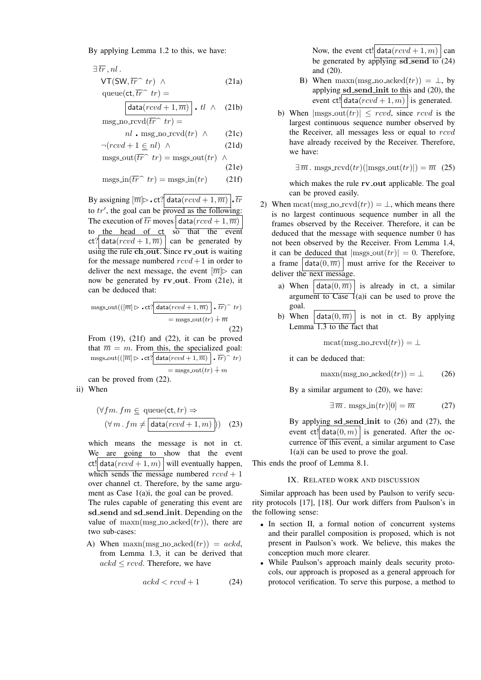By applying Lemma 1.2 to this, we have:

$$
\exists \overline{tr}, nl.
$$
  
VT(SW,  $\overline{tr}^c tr) \wedge$   
queue(ct,  $\overline{tr}^c tr$ ) = (21a)

$$
\boxed{\text{data}(rcvd + 1, \overline{m})} \cdot tl \ \wedge \ \ (21b)
$$
  
msg.no.rcvd( $\overline{tr}^{\sim} tr$ ) =

$$
nl \cdot \text{msg-no\_rcvd}(tr) \ \wedge \qquad (21c)
$$

$$
\neg (rcvd + 1 \leq nl) \ \wedge \tag{21d}
$$

$$
msgs.out(\overline{tr}^{\frown} tr) = msgs.out(tr) \wedge (21e)
$$

$$
msgs.in(\overline{tr}^{\frown} tr) = msgs.in(tr)
$$
 (21f)

By assigning  $|\overline{m}|$  ct? data $(rcvd + 1, \overline{m})$ . to  $tr'$ , the goal can be proved as the following: The execution of  $\overline{tr}$  moves data $(rcvd + 1, \overline{m})$ to the head of ct so that the event ct? data $(rcvd + 1, \overline{m})$  can be generated by using the rule ch\_out. Since rv\_out is waiting for the message numbered  $rcvd + 1$  in order to deliver the next message, the event  $|\overline{m}|$  can now be generated by rv\_out. From (21e), it can be deduced that:

$$
msgs.out((\lceil \overline{m} \rceil \rceil > \cdot ct \rceil \cdot \text{data}(rcvd + 1, \overline{m}) \cdot \overline{tr}) \hat{r} \cdot tr)
$$

$$
= msgs.out(tr) \dot{+} \overline{m}
$$
(22)

From (19), (21f) and (22), it can be proved that  $\overline{m} = m$ . From this, the specialized goal: msgs\_out( $([\overline{m}]\rhd$  .ct? data $(rcvd + 1, \overline{m})\rvert$ .  $\overline{tr})$   $\hat{ }$  tr)  $=$  msgs\_out(tr)  $\dot{+}$  m

can be proved from (22).

ii) When

$$
(\forall fm. fm \in queue(ct, tr) \Rightarrow
$$
  

$$
(\forall m. fm \neq \boxed{\text{data}(rcvd + 1, m)}))
$$
 (23)

which means the message is not in ct. We are going to show that the event ct! data $(rcvd + 1, m)$  will eventually happen, which sends the message numbered  $rcvd + 1$ over channel ct. Therefore, by the same argument as Case 1(a)i, the goal can be proved. The rules capable of generating this event are sd send and sd send init. Depending on the value of  $\max(n \leq n \leq \operatorname{ed}(tr))$ , there are two sub-cases:

A) When  $\max(n \text{sg no } \text{acked}(tr)) = \text{ack}d$ , from Lemma 1.3, it can be derived that  $ackd \leq rcvd$ . Therefore, we have

$$
ackd < rcvd + 1 \tag{24}
$$

Now, the event ct! data $(rcvd + 1, m)$  can be generated by applying sd send to  $(24)$ and (20).

- B) When  $\max(n \leq n \leq \operatorname{aked}(tr)) = \perp$ , by applying sd send init to this and (20), the event ct! data $(rcvd + 1, m)$  is generated.
- b) When  $|$ msgs out $(tr)| \leq rcvd$ , since rcvd is the largest continuous sequence number observed by the Receiver, all messages less or equal to rcvd have already received by the Receiver. Therefore, we have:

$$
\exists \overline{m} \text{. msgs\_rcvd}(tr)(|{\text{msgs\_out}(tr)}|) = \overline{m} \quad (25)
$$

which makes the rule rv\_out applicable. The goal can be proved easily.

- 2) When  $\text{mcat}(\text{msg\_no\_rcvd}(tr)) = \perp$ , which means there is no largest continuous sequence number in all the frames observed by the Receiver. Therefore, it can be deduced that the message with sequence number 0 has not been observed by the Receiver. From Lemma 1.4, it can be deduced that  $|$ msgs out $(tr)| = 0$ . Therefore, a frame data $(0, \overline{m})$  must arrive for the Receiver to deliver the next message.
	- a) When  $\left|\text{data}(0, \overline{m})\right|$  is already in ct, a similar argument to Case  $\overline{1}(a)$  can be used to prove the goal.
	- b) When  $\left| \det(a, \overline{m}) \right|$  is not in ct. By applying Lemma 1.3 to the fact that

$$
mcat(msg.no\_rcvd(tr)) = \bot
$$

it can be deduced that:

$$
\max n(\text{msg\_no\_acked}(tr)) = \bot \qquad (26)
$$

By a similar argument to (20), we have:

$$
\exists \overline{m} \dots \text{mess in}(tr)[0] = \overline{m} \tag{27}
$$

By applying  $sd\_send\_init$  to (26) and (27), the event ct! data $(0, m)$  is generated. After the occurrence of this event, a similar argument to Case 1(a)i can be used to prove the goal.

This ends the proof of Lemma 8.1.

# IX. RELATED WORK AND DISCUSSION

Similar approach has been used by Paulson to verify security protocols [17], [18]. Our work differs from Paulson's in the following sense:

- In section II, a formal notion of concurrent systems and their parallel composition is proposed, which is not present in Paulson's work. We believe, this makes the conception much more clearer.
- While Paulson's approach mainly deals security protocols, our approach is proposed as a general approach for protocol verification. To serve this purpose, a method to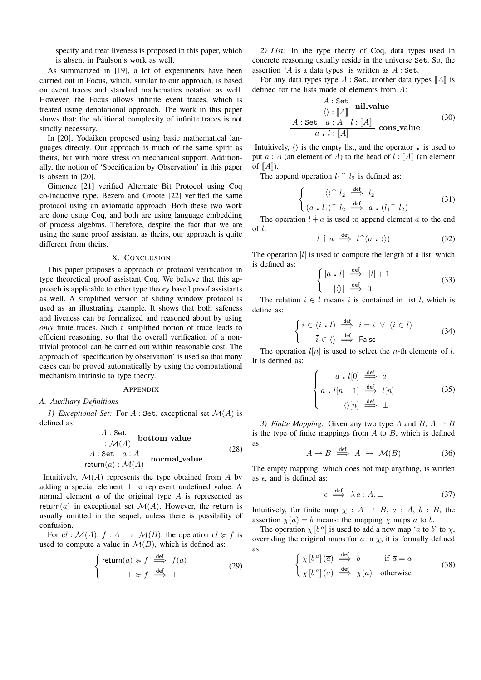specify and treat liveness is proposed in this paper, which is absent in Paulson's work as well.

As summarized in [19], a lot of experiments have been carried out in Focus, which, similar to our approach, is based on event traces and standard mathematics notation as well. However, the Focus allows infinite event traces, which is treated using denotational approach. The work in this paper shows that: the additional complexity of infinite traces is not strictly necessary.

In [20], Yodaiken proposed using basic mathematical languages directly. Our approach is much of the same spirit as theirs, but with more stress on mechanical support. Additionally, the notion of 'Specification by Observation' in this paper is absent in [20].

Gimenez [21] verified Alternate Bit Protocol using Coq co-inductive type, Bezem and Groote [22] verified the same protocol using an axiomatic approach. Both these two work are done using Coq, and both are using language embedding of process algebras. Therefore, despite the fact that we are using the same proof assistant as theirs, our approach is quite different from theirs.

#### X. CONCLUSION

This paper proposes a approach of protocol verification in type theoretical proof assistant Coq. We believe that this approach is applicable to other type theory based proof assistants as well. A simplified version of sliding window protocol is used as an illustrating example. It shows that both safeness and liveness can be formalized and reasoned about by using *only* finite traces. Such a simplified notion of trace leads to efficient reasoning, so that the overall verification of a nontrivial protocol can be carried out within reasonable cost. The approach of 'specification by observation' is used so that many cases can be proved automatically by using the computational mechanism intrinsic to type theory.

#### **APPENDIX**

## *A. Auxiliary Definitions*

*1) Exceptional Set:* For  $A$ : Set, exceptional set  $\mathcal{M}(A)$  is defined as:

$$
\frac{A: Set \perp : \mathcal{M}(A)}{\perp : \mathcal{M}(A)} \text{ bottom_value}
$$
\n
$$
A: Set \quad a: A \qquad \text{normal-value}
$$
\n
$$
return(a): \mathcal{M}(A) \qquad \text{normal-value}
$$
\n(28)

Intuitively,  $\mathcal{M}(A)$  represents the type obtained from A by adding a special element  $\perp$  to represent undefined value. A normal element  $a$  of the original type  $A$  is represented as return(a) in exceptional set  $\mathcal{M}(A)$ . However, the return is usually omitted in the sequel, unless there is possibility of confusion.

For  $el : \mathcal{M}(A), f : A \rightarrow \mathcal{M}(B)$ , the operation  $el \ge f$  is used to compute a value in  $\mathcal{M}(B)$ , which is defined as:

$$
\begin{cases}\n\text{return}(a) \succcurlyeq f \stackrel{\text{def}}{\implies} f(a) \\
\perp \succcurlyeq f \stackrel{\text{def}}{\implies} \perp\n\end{cases}
$$
\n(29)

*2) List:* In the type theory of Coq, data types used in concrete reasoning usually reside in the universe Set. So, the assertion 'A is a data types' is written as  $A$ : Set.

For any data types type  $A$ : Set, another data types  $\llbracket A \rrbracket$  is defined for the lists made of elements from A:

$$
\frac{A: \text{Set}}{\langle \rangle : [A] \text{ nil.value}}
$$
\n
$$
\frac{A: \text{Set } a: A \quad l: [A] \quad \text{cons_value}}{a \quad l: [A] \quad \text{cons_value}}
$$
\n(30)

Intuitively,  $\langle \rangle$  is the empty list, and the operator **i** is used to put  $a : A$  (an element of A) to the head of  $l : \llbracket A \rrbracket$  (an element of  $[[A]]$ ).

The append operation  $l_1 \hat{\ } l_2$  is defined as:

$$
\begin{cases}\n\langle \rangle^{\widehat{}} l_2 \stackrel{\text{def}}{\Longrightarrow} l_2 \\
(a \cdot l_1)^{\widehat{}} l_2 \stackrel{\text{def}}{\Longrightarrow} a \cdot (l_1^{\widehat{}} l_2)\n\end{cases} (31)
$$

The operation  $l \dot{+} a$  is used to append element a to the end  $\alpha f$  l.

$$
l \dotplus a \stackrel{\text{def}}{\implies} l^{\widehat{ }} (a \cdot \langle \rangle) \tag{32}
$$

The operation  $|l|$  is used to compute the length of a list, which is defined as:

$$
\begin{cases} |a \cdot l| \stackrel{\text{def}}{\implies} |l| + 1\\ |\langle \rangle| \stackrel{\text{def}}{\implies} 0 \end{cases}
$$
 (33)

The relation  $i \in l$  means i is contained in list l, which is define as:

$$
\begin{cases} \n\overline{i} \in (i \cdot l) \stackrel{\text{def}}{\implies} \overline{i} = i \ \lor \ (\overline{i} \in l) \\
\overline{i} \in \langle \rangle \stackrel{\text{def}}{\implies} \text{False} \n\end{cases} \tag{34}
$$

The operation  $l[n]$  is used to select the *n*-th elements of *l*. It is defined as:

$$
\begin{cases}\n a \cdot l[0] \stackrel{\text{def}}{\Longrightarrow} a \\
 a \cdot l[n+1] \stackrel{\text{def}}{\Longrightarrow} l[n] \\
 \langle \rangle [n] \stackrel{\text{def}}{\Longrightarrow} \bot\n\end{cases}
$$
\n(35)

*3) Finite Mapping:* Given any two type A and B,  $A \rightarrow B$ is the type of finite mappings from  $A$  to  $B$ , which is defined as:

$$
A \to B \stackrel{\text{def}}{\implies} A \to \mathcal{M}(B) \tag{36}
$$

The empty mapping, which does not map anything, is written as  $\epsilon$ , and is defined as:

$$
\epsilon \stackrel{\text{def}}{\Longrightarrow} \lambda a : A \perp \tag{37}
$$

Intuitively, for finite map  $\chi : A \rightarrow B$ ,  $a : A$ ,  $b : B$ , the assertion  $\chi(a) = b$  means: the mapping  $\chi$  maps a to b.

The operation  $\chi$  [b<sup>a</sup>] is used to add a new map 'a to b' to  $\chi$ , overriding the original maps for  $\alpha$  in  $\chi$ , it is formally defined as:

$$
\begin{cases} \chi \left[ b^a \right] (\overline{a}) \stackrel{\text{def}}{\implies} b & \text{if } \overline{a} = a \\ \chi \left[ b^a \right] (\overline{a}) \stackrel{\text{def}}{\implies} \chi(\overline{a}) & \text{otherwise} \end{cases}
$$
(38)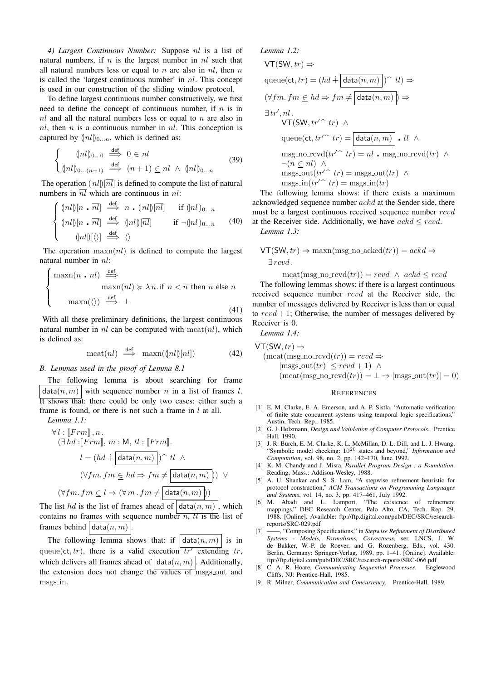*4) Largest Continuous Number:* Suppose nl is a list of natural numbers, if  $n$  is the largest number in  $nl$  such that all natural numbers less or equal to  $n$  are also in  $nl$ , then  $n$ is called the 'largest continuous number' in  $nl$ . This concept is used in our construction of the sliding window protocol.

To define largest continuous number constructively, we first need to define the concept of continuous number, if  $n$  is in  $nl$  and all the natural numbers less or equal to  $n$  are also in  $nl$ , then n is a continuous number in  $nl$ . This conception is captured by  $\langle n_l| \rangle_{0..n}$ , which is defined as:

$$
\begin{cases}\n\langle n l | 0 \ldots 0 \stackrel{\text{def}}{\implies} 0 \stackrel{\text{def}}{\implies} n l \\
\langle n l | 0 \ldots (n+1) \stackrel{\text{def}}{\implies} (n+1) \stackrel{\text{def}}{\implies} n l \quad \wedge \quad \langle n l | 0 \ldots n \rangle\n\end{cases} (39)
$$

The operation  $\left(\frac{n}{\vert n \vert}\right)$  is defined to compute the list of natural numbers in  $\overline{n}\overline{l}$  which are continuous in  $nl$ :

$$
\begin{cases}\n\langle n l | n \cdot \overline{n l} \rangle \stackrel{\text{def}}{\implies} n \cdot \langle n l | \overline{n l} \rangle \quad \text{if } \langle n l | 0 \ldots n \rangle \\
\langle n l | n \cdot \overline{n l} \rangle \stackrel{\text{def}}{\implies} \langle n l | \overline{n l} \rangle \quad \text{if } \neg(n l | 0 \ldots n \rangle \\
\langle n l | \rangle \langle \rangle \rangle \stackrel{\text{def}}{\implies} \langle \rangle\n\end{cases} \tag{40}
$$

The operation  $\max(nl)$  is defined to compute the largest natural number in nl:

$$
\begin{cases}\n\max(n \cdot nl) \stackrel{\text{def}}{\Longrightarrow} \\
\max(nl) \ge \lambda \overline{n}.\text{ if } n < \overline{n} \text{ then } \overline{n} \text{ else } n \\
\max(nl) \stackrel{\text{def}}{\Longrightarrow} \perp\n\end{cases}
$$
\n(41)

With all these preliminary definitions, the largest continuous natural number in  $nl$  can be computed with  $mcat(nl)$ , which is defined as:

$$
\text{mcat}(nl) \stackrel{\text{def}}{\implies} \text{maxn}(\text{[}nl\text{[}nl\text{[}nl\text{]})
$$
 (42)

# *B. Lemmas used in the proof of Lemma 8.1*

The following lemma is about searching for frame  $data(n, m)$  with sequence number n in a list of frames l. It shows that: there could be only two cases: either such a frame is found, or there is not such a frame in  $l$  at all.

*Lemma 1.1:*

$$
\forall l : \llbracket Frm \rrbracket, n .
$$
  
\n
$$
(\exists hd : \llbracket Frm \rrbracket, m : \mathsf{M}, tl : \llbracket Frm \rrbracket).
$$
  
\n
$$
l = (hd \dot{+} \boxed{\text{data}(n, m)} ) \hat{\ } \text{tl } \wedge
$$
  
\n
$$
(\forall fm. fm \le hd \Rightarrow fm \neq \boxed{\text{data}(n, m)})) \vee
$$
  
\n
$$
(\forall fm. fm \le l \Rightarrow (\forall m. fm \neq \boxed{\text{data}(n, m)}))
$$

The list hd is the list of frames ahead of  $\vert$  data $(n, m)$ , which contains no frames with sequence number  $n$ ,  $tl$  is the list of frames behind  $data(n, m)$ 

The following lemma shows that: if  $\left| \det(n, m) \right|$  is in queue(ct, tr), there is a valid execution  $tr'$  extending tr, which delivers all frames ahead of  $\vert$  data $(n, m)$ . Additionally, the extension does not change the values of msgs out and msgs in.

$$
Lemma 1.2:
$$
\n
$$
\nabla \mathsf{T}(\mathsf{SW}, tr) \Rightarrow
$$
\n
$$
\text{queue}(\mathsf{ct}, tr) = (hd + \boxed{\mathsf{data}(n, m)} \cap tl) \Rightarrow
$$
\n
$$
(\forall fm. fm \subseteq hd \Rightarrow fm \neq \boxed{\mathsf{data}(n, m)} \Rightarrow
$$
\n
$$
\exists tr', nl.
$$
\n
$$
\nabla \mathsf{T}(\mathsf{SW}, tr' \cap tr) \land
$$
\n
$$
\text{queue}(\mathsf{ct}, tr' \cap tr) = \boxed{\mathsf{data}(n, m)} \cdot tl \land
$$
\n
$$
\text{msg\_no\_rcvd}(tr' \cap tr) = nl \cdot \text{msg\_no\_rcvd}(tr) \land
$$
\n
$$
\neg (n \subseteq nl) \land
$$
\n
$$
\text{msg\_no\_rcut}(tr' \cap tr) = \text{msg\_out}(tr) \land
$$
\n
$$
\text{msg\_in}(tr' \cap tr) = \text{msg\_in}(tr)
$$

The following lemma shows: if there exists a maximum acknowledged sequence number ackd at the Sender side, there must be a largest continuous received sequence number rcvd at the Receiver side. Additionally, we have  $ackd \leq rcvd$ . *Lemma 1.3:*

$$
VT(SW, tr) \Rightarrow \text{maxn}(\text{msg\_no\_acked}(tr)) = ackd \Rightarrow
$$
  

$$
\exists rcvd.
$$

 $\text{mcat}(\text{msg\_no\_rcvd}(tr)) = rcvd \ \wedge \ ackd \leq rcvd$ 

The following lemmas shows: if there is a largest continuous received sequence number rcvd at the Receiver side, the number of messages delivered by Receiver is less than or equal to  $rcvd + 1$ ; Otherwise, the number of messages delivered by Receiver is 0.

*Lemma 1.4:*

$$
VT(SW, tr) \Rightarrow
$$
  
\n
$$
(\text{meat}(\text{msg\_no\_rcvd}(tr)) = rcvd \Rightarrow
$$
  
\n
$$
|\text{mess\_out}(tr)| \leq rcvd + 1) \land
$$
  
\n
$$
(\text{meat}(\text{msg\_no\_rcvd}(tr)) = \bot \Rightarrow |\text{mess\_out}(tr)| = 0)
$$

#### **REFERENCES**

- [1] E. M. Clarke, E. A. Emerson, and A. P. Sistla, "Automatic verification of finite state concurrent systems using temporal logic specifications," Austin, Tech. Rep., 1985.
- [2] G. J. Holzmann, *Design and Validation of Computer Protocols*. Prentice Hall, 1990.
- [3] J. R. Burch, E. M. Clarke, K. L. McMillan, D. L. Dill, and L. J. Hwang, "Symbolic model checking: 10<sup>20</sup> states and beyond," *Information and Computation*, vol. 98, no. 2, pp. 142–170, June 1992.
- [4] K. M. Chandy and J. Misra, *Parallel Program Design : a Foundation*. Reading, Mass.: Addison-Wesley, 1988.
- [5] A. U. Shankar and S. S. Lam, "A stepwise refinement heuristic for protocol construction," *ACM Transactions on Programming Languages and Systems*, vol. 14, no. 3, pp. 417–461, July 1992.
- [6] M. Abadi and L. Lamport, "The existence of refinement mappings," DEC Research Center, Palo Alto, CA, Tech. Rep. 29, 1988. [Online]. Available: ftp://ftp.digital.com/pub/DEC/SRC/researchreports/SRC-029.pdf
- [7] ——, "Composing Specifications," in *Stepwise Refinement of Distributed Systems - Models, Formalisms, Correctness*, ser. LNCS, J. W. de Bakker, W.-P. de Roever, and G. Rozenberg, Eds., vol. 430. Berlin, Germany: Springer-Verlag, 1989, pp. 1–41. [Online]. Available: ftp://ftp.digital.com/pub/DEC/SRC/research-reports/SRC-066.pdf
- [8] C. A. R. Hoare, *Communicating Sequential Processes*. Englewood Cliffs, NJ: Prentice-Hall, 1985.
- [9] R. Milner, *Communication and Concurrency*. Prentice-Hall, 1989.